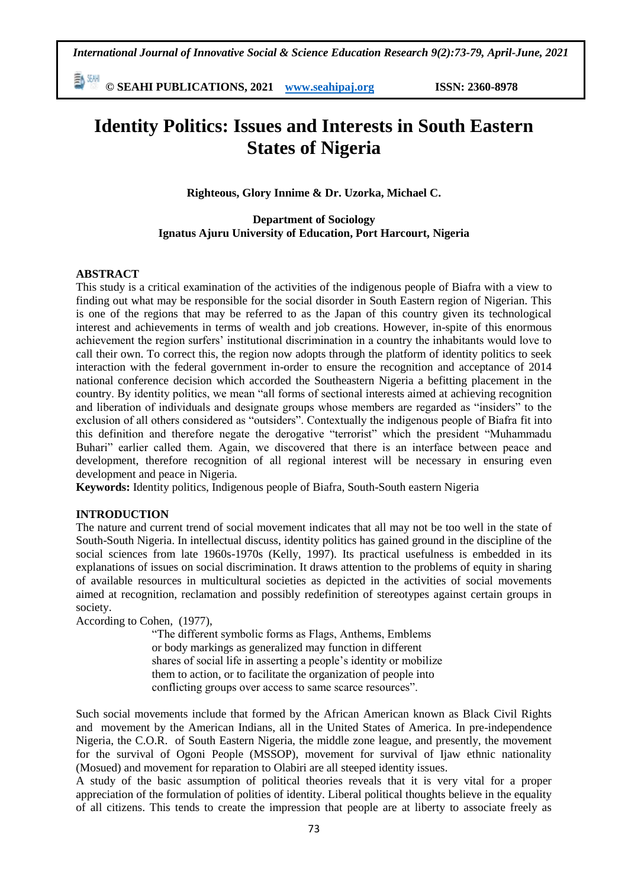*International Journal of Innovative Social & Science Education Research 9(2):73-79, April-June, 2021*

勤酬 **© SEAHI PUBLICATIONS, 2021 [www.seahipaj.org](http://www.seahipaj.org/) ISSN: 2360-8978**

# **Identity Politics: Issues and Interests in South Eastern States of Nigeria**

**Righteous, Glory Innime & Dr. Uzorka, Michael C.**

## **Department of Sociology Ignatus Ajuru University of Education, Port Harcourt, Nigeria**

# **ABSTRACT**

This study is a critical examination of the activities of the indigenous people of Biafra with a view to finding out what may be responsible for the social disorder in South Eastern region of Nigerian. This is one of the regions that may be referred to as the Japan of this country given its technological interest and achievements in terms of wealth and job creations. However, in-spite of this enormous achievement the region surfers' institutional discrimination in a country the inhabitants would love to call their own. To correct this, the region now adopts through the platform of identity politics to seek interaction with the federal government in-order to ensure the recognition and acceptance of 2014 national conference decision which accorded the Southeastern Nigeria a befitting placement in the country. By identity politics, we mean "all forms of sectional interests aimed at achieving recognition and liberation of individuals and designate groups whose members are regarded as "insiders" to the exclusion of all others considered as "outsiders". Contextually the indigenous people of Biafra fit into this definition and therefore negate the derogative "terrorist" which the president "Muhammadu Buhari" earlier called them. Again, we discovered that there is an interface between peace and development, therefore recognition of all regional interest will be necessary in ensuring even development and peace in Nigeria*.*

**Keywords:** Identity politics, Indigenous people of Biafra, South-South eastern Nigeria

## **INTRODUCTION**

The nature and current trend of social movement indicates that all may not be too well in the state of South-South Nigeria. In intellectual discuss, identity politics has gained ground in the discipline of the social sciences from late 1960s-1970s (Kelly, 1997). Its practical usefulness is embedded in its explanations of issues on social discrimination. It draws attention to the problems of equity in sharing of available resources in multicultural societies as depicted in the activities of social movements aimed at recognition, reclamation and possibly redefinition of stereotypes against certain groups in society.

According to Cohen, (1977),

"The different symbolic forms as Flags, Anthems, Emblems or body markings as generalized may function in different shares of social life in asserting a people's identity or mobilize them to action, or to facilitate the organization of people into conflicting groups over access to same scarce resources".

Such social movements include that formed by the African American known as Black Civil Rights and movement by the American Indians, all in the United States of America. In pre-independence Nigeria, the C.O.R. of South Eastern Nigeria, the middle zone league, and presently, the movement for the survival of Ogoni People (MSSOP), movement for survival of Ijaw ethnic nationality (Mosued) and movement for reparation to Olabiri are all steeped identity issues.

A study of the basic assumption of political theories reveals that it is very vital for a proper appreciation of the formulation of polities of identity. Liberal political thoughts believe in the equality of all citizens. This tends to create the impression that people are at liberty to associate freely as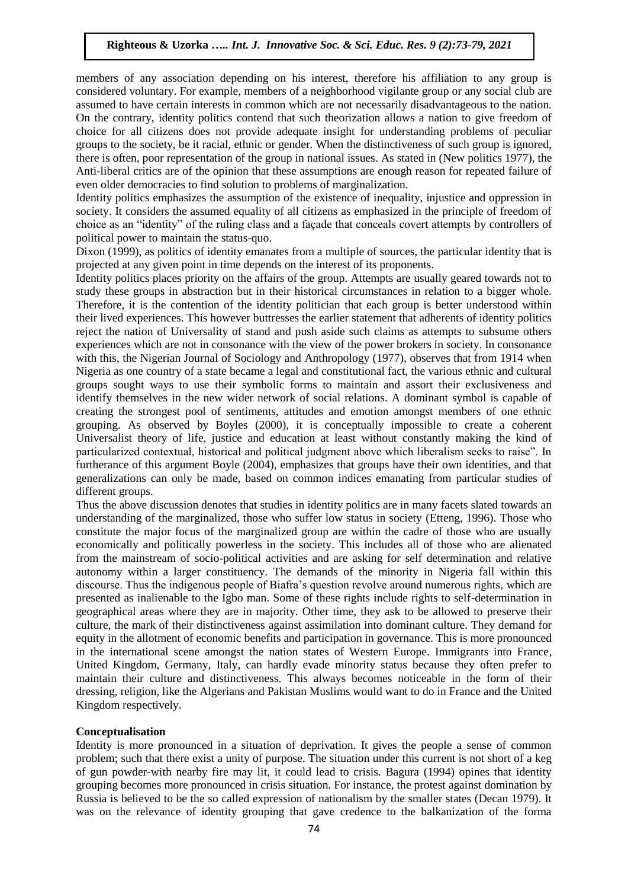# **Righteous & Uzorka** *….. Int. J. Innovative Soc. & Sci. Educ. Res. 9 (2):73-79, 2021*

members of any association depending on his interest, therefore his affiliation to any group is considered voluntary. For example, members of a neighborhood vigilante group or any social club are assumed to have certain interests in common which are not necessarily disadvantageous to the nation. On the contrary, identity politics contend that such theorization allows a nation to give freedom of choice for all citizens does not provide adequate insight for understanding problems of peculiar groups to the society, be it racial, ethnic or gender. When the distinctiveness of such group is ignored, there is often, poor representation of the group in national issues. As stated in (New politics 1977), the Anti-liberal critics are of the opinion that these assumptions are enough reason for repeated failure of even older democracies to find solution to problems of marginalization.

Identity politics emphasizes the assumption of the existence of inequality, injustice and oppression in society. It considers the assumed equality of all citizens as emphasized in the principle of freedom of choice as an "identity" of the ruling class and a façade that conceals covert attempts by controllers of political power to maintain the status-quo.

Dixon (1999), as politics of identity emanates from a multiple of sources, the particular identity that is projected at any given point in time depends on the interest of its proponents.

Identity politics places priority on the affairs of the group. Attempts are usually geared towards not to study these groups in abstraction but in their historical circumstances in relation to a bigger whole. Therefore, it is the contention of the identity politician that each group is better understood within their lived experiences. This however buttresses the earlier statement that adherents of identity politics reject the nation of Universality of stand and push aside such claims as attempts to subsume others experiences which are not in consonance with the view of the power brokers in society. In consonance with this, the Nigerian Journal of Sociology and Anthropology (1977), observes that from 1914 when Nigeria as one country of a state became a legal and constitutional fact, the various ethnic and cultural groups sought ways to use their symbolic forms to maintain and assort their exclusiveness and identify themselves in the new wider network of social relations. A dominant symbol is capable of creating the strongest pool of sentiments, attitudes and emotion amongst members of one ethnic grouping. As observed by Boyles (2000), it is conceptually impossible to create a coherent Universalist theory of life, justice and education at least without constantly making the kind of particularized contextual, historical and political judgment above which liberalism seeks to raise". In furtherance of this argument Boyle (2004), emphasizes that groups have their own identities, and that generalizations can only be made, based on common indices emanating from particular studies of different groups.

Thus the above discussion denotes that studies in identity politics are in many facets slated towards an understanding of the marginalized, those who suffer low status in society (Etteng, 1996). Those who constitute the major focus of the marginalized group are within the cadre of those who are usually economically and politically powerless in the society. This includes all of those who are alienated from the mainstream of socio-political activities and are asking for self determination and relative autonomy within a larger constituency. The demands of the minority in Nigeria fall within this discourse. Thus the indigenous people of Biafra's question revolve around numerous rights, which are presented as inalienable to the Igbo man. Some of these rights include rights to self-determination in geographical areas where they are in majority. Other time, they ask to be allowed to preserve their culture, the mark of their distinctiveness against assimilation into dominant culture. They demand for equity in the allotment of economic benefits and participation in governance. This is more pronounced in the international scene amongst the nation states of Western Europe. Immigrants into France, United Kingdom, Germany, Italy, can hardly evade minority status because they often prefer to maintain their culture and distinctiveness. This always becomes noticeable in the form of their dressing, religion, like the Algerians and Pakistan Muslims would want to do in France and the United Kingdom respectively.

## **Conceptualisation**

Identity is more pronounced in a situation of deprivation. It gives the people a sense of common problem; such that there exist a unity of purpose. The situation under this current is not short of a keg of gun powder-with nearby fire may lit, it could lead to crisis. Bagura (1994) opines that identity grouping becomes more pronounced in crisis situation. For instance, the protest against domination by Russia is believed to be the so called expression of nationalism by the smaller states (Decan 1979). It was on the relevance of identity grouping that gave credence to the balkanization of the forma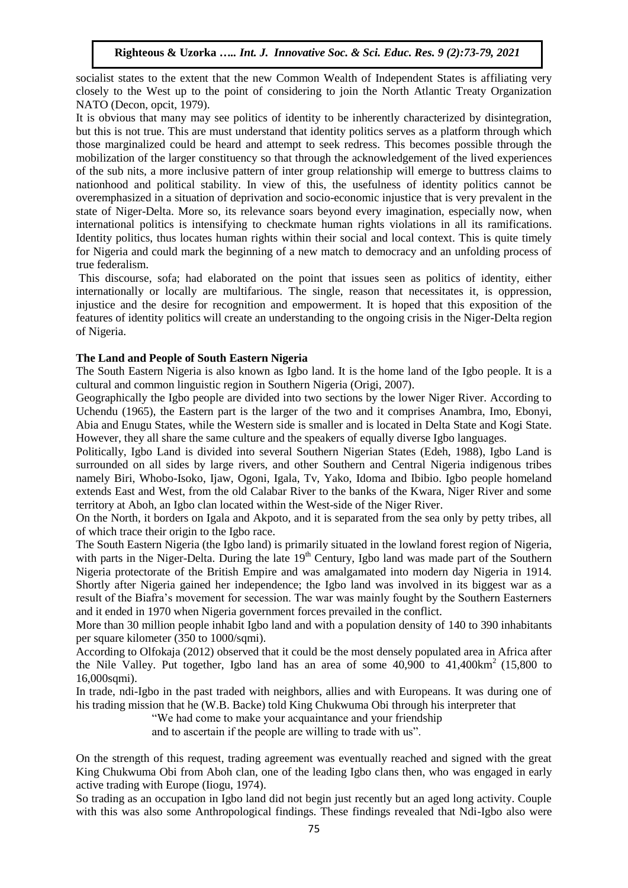socialist states to the extent that the new Common Wealth of Independent States is affiliating very closely to the West up to the point of considering to join the North Atlantic Treaty Organization NATO (Decon, opcit, 1979).

It is obvious that many may see politics of identity to be inherently characterized by disintegration, but this is not true. This are must understand that identity politics serves as a platform through which those marginalized could be heard and attempt to seek redress. This becomes possible through the mobilization of the larger constituency so that through the acknowledgement of the lived experiences of the sub nits, a more inclusive pattern of inter group relationship will emerge to buttress claims to nationhood and political stability. In view of this, the usefulness of identity politics cannot be overemphasized in a situation of deprivation and socio-economic injustice that is very prevalent in the state of Niger-Delta. More so, its relevance soars beyond every imagination, especially now, when international politics is intensifying to checkmate human rights violations in all its ramifications. Identity politics, thus locates human rights within their social and local context. This is quite timely for Nigeria and could mark the beginning of a new match to democracy and an unfolding process of true federalism.

This discourse, sofa; had elaborated on the point that issues seen as politics of identity, either internationally or locally are multifarious. The single, reason that necessitates it, is oppression, injustice and the desire for recognition and empowerment. It is hoped that this exposition of the features of identity politics will create an understanding to the ongoing crisis in the Niger-Delta region of Nigeria.

# **The Land and People of South Eastern Nigeria**

The South Eastern Nigeria is also known as Igbo land. It is the home land of the Igbo people. It is a cultural and common linguistic region in Southern Nigeria (Origi, 2007).

Geographically the Igbo people are divided into two sections by the lower Niger River. According to Uchendu (1965), the Eastern part is the larger of the two and it comprises Anambra, Imo, Ebonyi, Abia and Enugu States, while the Western side is smaller and is located in Delta State and Kogi State. However, they all share the same culture and the speakers of equally diverse Igbo languages.

Politically, Igbo Land is divided into several Southern Nigerian States (Edeh, 1988), Igbo Land is surrounded on all sides by large rivers, and other Southern and Central Nigeria indigenous tribes namely Biri, Whobo-Isoko, Ijaw, Ogoni, Igala, Tv, Yako, Idoma and Ibibio. Igbo people homeland extends East and West, from the old Calabar River to the banks of the Kwara, Niger River and some territory at Aboh, an Igbo clan located within the West-side of the Niger River.

On the North, it borders on Igala and Akpoto, and it is separated from the sea only by petty tribes, all of which trace their origin to the Igbo race.

The South Eastern Nigeria (the Igbo land) is primarily situated in the lowland forest region of Nigeria, with parts in the Niger-Delta. During the late 19<sup>th</sup> Century, Igbo land was made part of the Southern Nigeria protectorate of the British Empire and was amalgamated into modern day Nigeria in 1914. Shortly after Nigeria gained her independence; the Igbo land was involved in its biggest war as a result of the Biafra's movement for secession. The war was mainly fought by the Southern Easterners and it ended in 1970 when Nigeria government forces prevailed in the conflict.

More than 30 million people inhabit Igbo land and with a population density of 140 to 390 inhabitants per square kilometer (350 to 1000/sqmi).

According to Olfokaja (2012) observed that it could be the most densely populated area in Africa after the Nile Valley. Put together, Igbo land has an area of some  $40,900$  to  $41,400 \text{km}^2$  (15,800 to 16,000sqmi).

In trade, ndi-Igbo in the past traded with neighbors, allies and with Europeans. It was during one of his trading mission that he (W.B. Backe) told King Chukwuma Obi through his interpreter that

"We had come to make your acquaintance and your friendship

and to ascertain if the people are willing to trade with us".

On the strength of this request, trading agreement was eventually reached and signed with the great King Chukwuma Obi from Aboh clan, one of the leading Igbo clans then, who was engaged in early active trading with Europe (Iiogu, 1974).

So trading as an occupation in Igbo land did not begin just recently but an aged long activity. Couple with this was also some Anthropological findings. These findings revealed that Ndi-Igbo also were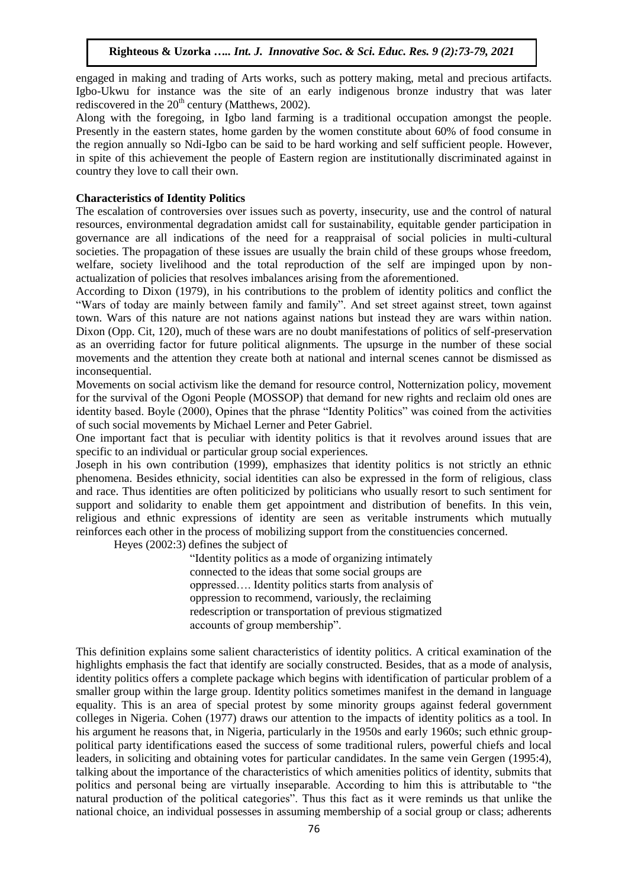## **Righteous & Uzorka** *….. Int. J. Innovative Soc. & Sci. Educ. Res. 9 (2):73-79, 2021*

engaged in making and trading of Arts works, such as pottery making, metal and precious artifacts. Igbo-Ukwu for instance was the site of an early indigenous bronze industry that was later rediscovered in the  $20<sup>th</sup>$  century (Matthews, 2002).

Along with the foregoing, in Igbo land farming is a traditional occupation amongst the people. Presently in the eastern states, home garden by the women constitute about 60% of food consume in the region annually so Ndi-Igbo can be said to be hard working and self sufficient people. However, in spite of this achievement the people of Eastern region are institutionally discriminated against in country they love to call their own.

#### **Characteristics of Identity Politics**

The escalation of controversies over issues such as poverty, insecurity, use and the control of natural resources, environmental degradation amidst call for sustainability, equitable gender participation in governance are all indications of the need for a reappraisal of social policies in multi-cultural societies. The propagation of these issues are usually the brain child of these groups whose freedom, welfare, society livelihood and the total reproduction of the self are impinged upon by nonactualization of policies that resolves imbalances arising from the aforementioned.

According to Dixon (1979), in his contributions to the problem of identity politics and conflict the "Wars of today are mainly between family and family". And set street against street, town against town. Wars of this nature are not nations against nations but instead they are wars within nation. Dixon (Opp. Cit, 120), much of these wars are no doubt manifestations of politics of self-preservation as an overriding factor for future political alignments. The upsurge in the number of these social movements and the attention they create both at national and internal scenes cannot be dismissed as inconsequential.

Movements on social activism like the demand for resource control, Notternization policy, movement for the survival of the Ogoni People (MOSSOP) that demand for new rights and reclaim old ones are identity based. Boyle (2000), Opines that the phrase "Identity Politics" was coined from the activities of such social movements by Michael Lerner and Peter Gabriel.

One important fact that is peculiar with identity politics is that it revolves around issues that are specific to an individual or particular group social experiences.

Joseph in his own contribution (1999), emphasizes that identity politics is not strictly an ethnic phenomena. Besides ethnicity, social identities can also be expressed in the form of religious, class and race. Thus identities are often politicized by politicians who usually resort to such sentiment for support and solidarity to enable them get appointment and distribution of benefits. In this vein, religious and ethnic expressions of identity are seen as veritable instruments which mutually reinforces each other in the process of mobilizing support from the constituencies concerned.

Heyes (2002:3) defines the subject of

"Identity politics as a mode of organizing intimately connected to the ideas that some social groups are oppressed…. Identity politics starts from analysis of oppression to recommend, variously, the reclaiming redescription or transportation of previous stigmatized accounts of group membership".

This definition explains some salient characteristics of identity politics. A critical examination of the highlights emphasis the fact that identify are socially constructed. Besides, that as a mode of analysis, identity politics offers a complete package which begins with identification of particular problem of a smaller group within the large group. Identity politics sometimes manifest in the demand in language equality. This is an area of special protest by some minority groups against federal government colleges in Nigeria. Cohen (1977) draws our attention to the impacts of identity politics as a tool. In his argument he reasons that, in Nigeria, particularly in the 1950s and early 1960s; such ethnic grouppolitical party identifications eased the success of some traditional rulers, powerful chiefs and local leaders, in soliciting and obtaining votes for particular candidates. In the same vein Gergen (1995:4), talking about the importance of the characteristics of which amenities politics of identity, submits that politics and personal being are virtually inseparable. According to him this is attributable to "the natural production of the political categories". Thus this fact as it were reminds us that unlike the national choice, an individual possesses in assuming membership of a social group or class; adherents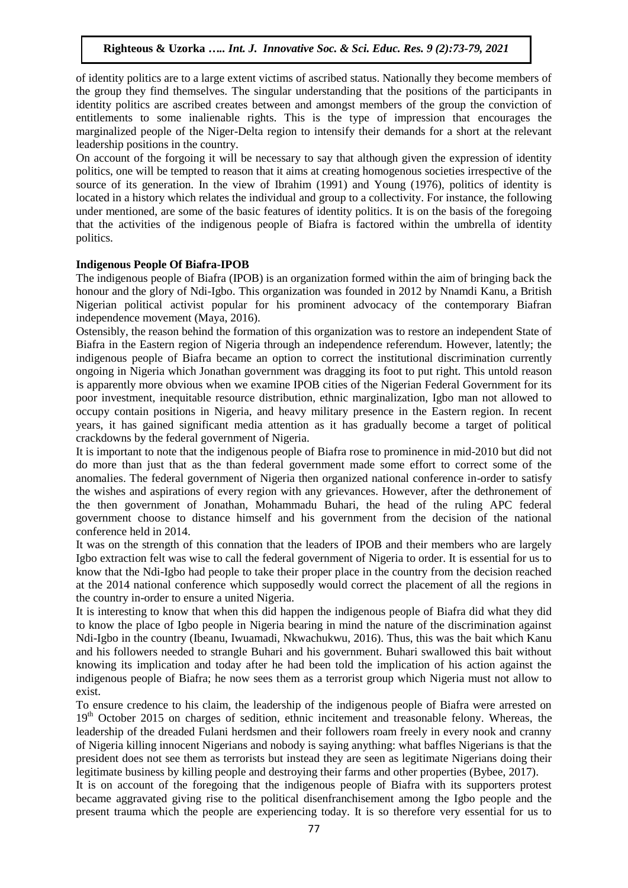of identity politics are to a large extent victims of ascribed status. Nationally they become members of the group they find themselves. The singular understanding that the positions of the participants in identity politics are ascribed creates between and amongst members of the group the conviction of entitlements to some inalienable rights. This is the type of impression that encourages the marginalized people of the Niger-Delta region to intensify their demands for a short at the relevant leadership positions in the country.

On account of the forgoing it will be necessary to say that although given the expression of identity politics, one will be tempted to reason that it aims at creating homogenous societies irrespective of the source of its generation. In the view of Ibrahim (1991) and Young (1976), politics of identity is located in a history which relates the individual and group to a collectivity. For instance, the following under mentioned, are some of the basic features of identity politics. It is on the basis of the foregoing that the activities of the indigenous people of Biafra is factored within the umbrella of identity politics.

## **Indigenous People Of Biafra-IPOB**

The indigenous people of Biafra (IPOB) is an organization formed within the aim of bringing back the honour and the glory of Ndi-Igbo. This organization was founded in 2012 by Nnamdi Kanu, a British Nigerian political activist popular for his prominent advocacy of the contemporary Biafran independence movement (Maya, 2016).

Ostensibly, the reason behind the formation of this organization was to restore an independent State of Biafra in the Eastern region of Nigeria through an independence referendum. However, latently; the indigenous people of Biafra became an option to correct the institutional discrimination currently ongoing in Nigeria which Jonathan government was dragging its foot to put right. This untold reason is apparently more obvious when we examine IPOB cities of the Nigerian Federal Government for its poor investment, inequitable resource distribution, ethnic marginalization, Igbo man not allowed to occupy contain positions in Nigeria, and heavy military presence in the Eastern region. In recent years, it has gained significant media attention as it has gradually become a target of political crackdowns by the federal government of Nigeria.

It is important to note that the indigenous people of Biafra rose to prominence in mid-2010 but did not do more than just that as the than federal government made some effort to correct some of the anomalies. The federal government of Nigeria then organized national conference in-order to satisfy the wishes and aspirations of every region with any grievances. However, after the dethronement of the then government of Jonathan, Mohammadu Buhari, the head of the ruling APC federal government choose to distance himself and his government from the decision of the national conference held in 2014.

It was on the strength of this connation that the leaders of IPOB and their members who are largely Igbo extraction felt was wise to call the federal government of Nigeria to order. It is essential for us to know that the Ndi-Igbo had people to take their proper place in the country from the decision reached at the 2014 national conference which supposedly would correct the placement of all the regions in the country in-order to ensure a united Nigeria.

It is interesting to know that when this did happen the indigenous people of Biafra did what they did to know the place of Igbo people in Nigeria bearing in mind the nature of the discrimination against Ndi-Igbo in the country (Ibeanu, Iwuamadi, Nkwachukwu, 2016). Thus, this was the bait which Kanu and his followers needed to strangle Buhari and his government. Buhari swallowed this bait without knowing its implication and today after he had been told the implication of his action against the indigenous people of Biafra; he now sees them as a terrorist group which Nigeria must not allow to exist.

To ensure credence to his claim, the leadership of the indigenous people of Biafra were arrested on 19<sup>th</sup> October 2015 on charges of sedition, ethnic incitement and treasonable felony. Whereas, the leadership of the dreaded Fulani herdsmen and their followers roam freely in every nook and cranny of Nigeria killing innocent Nigerians and nobody is saying anything: what baffles Nigerians is that the president does not see them as terrorists but instead they are seen as legitimate Nigerians doing their legitimate business by killing people and destroying their farms and other properties (Bybee, 2017).

It is on account of the foregoing that the indigenous people of Biafra with its supporters protest became aggravated giving rise to the political disenfranchisement among the Igbo people and the present trauma which the people are experiencing today. It is so therefore very essential for us to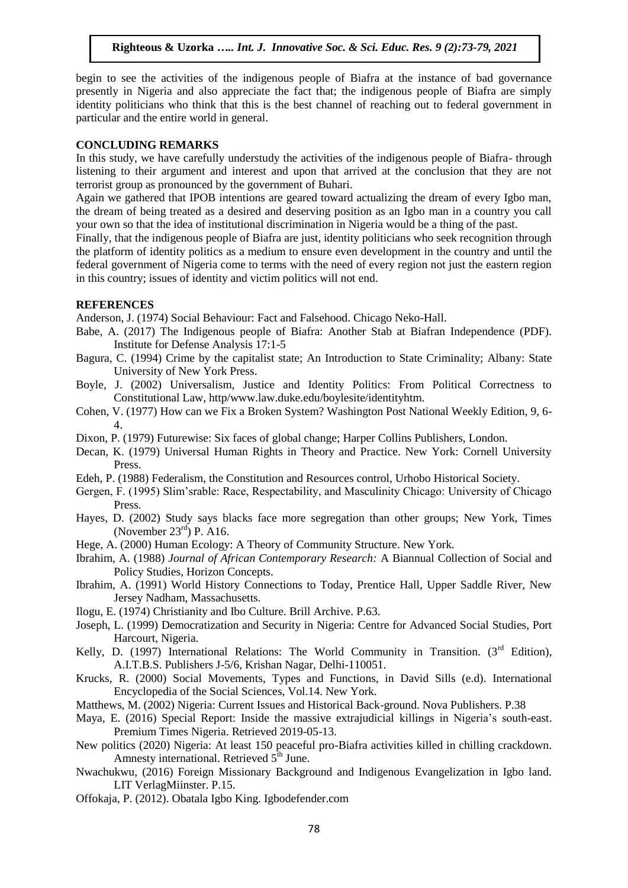#### **Righteous & Uzorka** *….. Int. J. Innovative Soc. & Sci. Educ. Res. 9 (2):73-79, 2021*

begin to see the activities of the indigenous people of Biafra at the instance of bad governance presently in Nigeria and also appreciate the fact that; the indigenous people of Biafra are simply identity politicians who think that this is the best channel of reaching out to federal government in particular and the entire world in general.

#### **CONCLUDING REMARKS**

In this study, we have carefully understudy the activities of the indigenous people of Biafra- through listening to their argument and interest and upon that arrived at the conclusion that they are not terrorist group as pronounced by the government of Buhari.

Again we gathered that IPOB intentions are geared toward actualizing the dream of every Igbo man, the dream of being treated as a desired and deserving position as an Igbo man in a country you call your own so that the idea of institutional discrimination in Nigeria would be a thing of the past.

Finally, that the indigenous people of Biafra are just, identity politicians who seek recognition through the platform of identity politics as a medium to ensure even development in the country and until the federal government of Nigeria come to terms with the need of every region not just the eastern region in this country; issues of identity and victim politics will not end.

#### **REFERENCES**

Anderson, J. (1974) Social Behaviour: Fact and Falsehood. Chicago Neko-Hall.

- Babe, A. (2017) The Indigenous people of Biafra: Another Stab at Biafran Independence (PDF). Institute for Defense Analysis 17:1-5
- Bagura, C. (1994) Crime by the capitalist state; An Introduction to State Criminality; Albany: State University of New York Press.
- Boyle, J. (2002) Universalism, Justice and Identity Politics: From Political Correctness to Constitutional Law, http/www.law.duke.edu/boylesite/identityhtm.
- Cohen, V. (1977) How can we Fix a Broken System? Washington Post National Weekly Edition, 9, 6- 4.
- Dixon, P. (1979) Futurewise: Six faces of global change; Harper Collins Publishers, London.
- Decan, K. (1979) Universal Human Rights in Theory and Practice. New York: Cornell University Press.
- Edeh, P. (1988) Federalism, the Constitution and Resources control, Urhobo Historical Society.
- Gergen, F. (1995) Slim'srable: Race, Respectability, and Masculinity Chicago: University of Chicago Press.
- Hayes, D. (2002) Study says blacks face more segregation than other groups; New York, Times (November  $23<sup>rd</sup>$ ) P. A16.
- Hege, A. (2000) Human Ecology: A Theory of Community Structure. New York.
- Ibrahim, A. (1988) *Journal of African Contemporary Research:* A Biannual Collection of Social and Policy Studies, Horizon Concepts.
- Ibrahim, A. (1991) World History Connections to Today, Prentice Hall, Upper Saddle River, New Jersey Nadham, Massachusetts.
- Ilogu, E. (1974) Christianity and Ibo Culture. Brill Archive. P.63.
- Joseph, L. (1999) Democratization and Security in Nigeria: Centre for Advanced Social Studies, Port Harcourt, Nigeria.
- Kelly, D. (1997) International Relations: The World Community in Transition.  $3<sup>rd</sup>$  Edition). A.I.T.B.S. Publishers J-5/6, Krishan Nagar, Delhi-110051.
- Krucks, R. (2000) Social Movements, Types and Functions, in David Sills (e.d). International Encyclopedia of the Social Sciences, Vol.14. New York.
- Matthews, M. (2002) Nigeria: Current Issues and Historical Back-ground. Nova Publishers. P.38
- Maya, E. (2016) Special Report: Inside the massive extrajudicial killings in Nigeria's south-east. Premium Times Nigeria. Retrieved 2019-05-13.
- New politics (2020) Nigeria: At least 150 peaceful pro-Biafra activities killed in chilling crackdown. Amnesty international. Retrieved  $5<sup>th</sup>$  June.
- Nwachukwu, (2016) Foreign Missionary Background and Indigenous Evangelization in Igbo land. LIT VerlagMiinster. P.15.
- Offokaja, P. (2012). Obatala Igbo King. Igbodefender.com